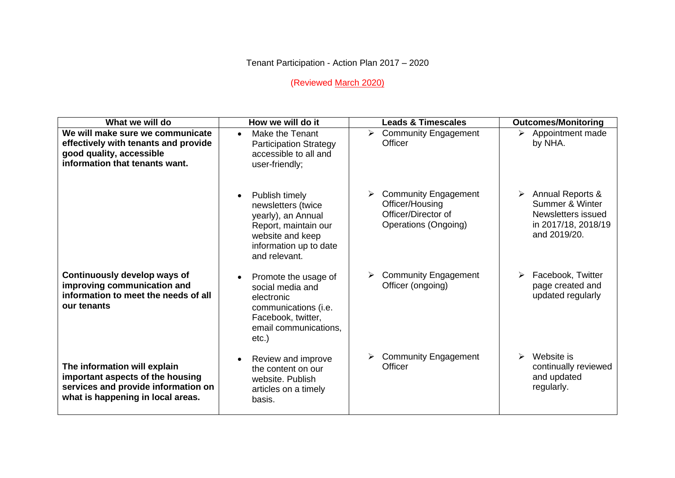Tenant Participation - Action Plan 2017 – 2020

(Reviewed March 2020)

| What we will do                                                                                                                              | How we will do it                                                                                                                                 | <b>Leads &amp; Timescales</b>                                                                                                 | <b>Outcomes/Monitoring</b>                                                                            |
|----------------------------------------------------------------------------------------------------------------------------------------------|---------------------------------------------------------------------------------------------------------------------------------------------------|-------------------------------------------------------------------------------------------------------------------------------|-------------------------------------------------------------------------------------------------------|
| We will make sure we communicate<br>effectively with tenants and provide<br>good quality, accessible<br>information that tenants want.       | Make the Tenant<br>$\bullet$<br><b>Participation Strategy</b><br>accessible to all and<br>user-friendly;                                          | $\triangleright$ Community Engagement<br>Officer                                                                              | Appointment made<br>➤<br>by NHA.                                                                      |
|                                                                                                                                              | Publish timely<br>newsletters (twice<br>yearly), an Annual<br>Report, maintain our<br>website and keep<br>information up to date<br>and relevant. | <b>Community Engagement</b><br>$\blacktriangleright$<br>Officer/Housing<br>Officer/Director of<br><b>Operations (Ongoing)</b> | Annual Reports &<br>≻<br>Summer & Winter<br>Newsletters issued<br>in 2017/18, 2018/19<br>and 2019/20. |
| Continuously develop ways of<br>improving communication and<br>information to meet the needs of all<br>our tenants                           | Promote the usage of<br>social media and<br>electronic<br>communications (i.e.<br>Facebook, twitter,<br>email communications,<br>$etc.$ )         | <b>Community Engagement</b><br>Officer (ongoing)                                                                              | Facebook, Twitter<br>page created and<br>updated regularly                                            |
| The information will explain<br>important aspects of the housing<br>services and provide information on<br>what is happening in local areas. | Review and improve<br>the content on our<br>website. Publish<br>articles on a timely<br>basis.                                                    | <b>Community Engagement</b><br>Officer                                                                                        | Website is<br>➤<br>continually reviewed<br>and updated<br>regularly.                                  |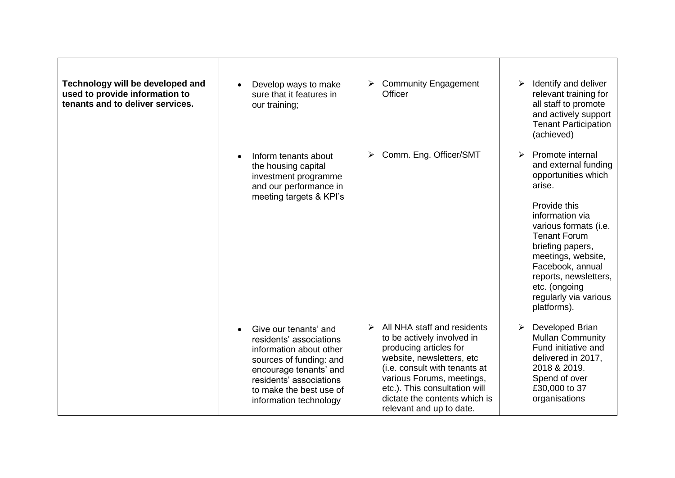| Technology will be developed and<br>used to provide information to<br>tenants and to deliver services. | Develop ways to make<br>sure that it features in<br>our training;                                                                                                                                                | <b>Community Engagement</b><br>➤<br>Officer                                                                                                                                                                                                                                  | Identify and deliver<br>relevant training for<br>all staff to promote<br>and actively support<br><b>Tenant Participation</b><br>(achieved)                                                                                                                                                                        |
|--------------------------------------------------------------------------------------------------------|------------------------------------------------------------------------------------------------------------------------------------------------------------------------------------------------------------------|------------------------------------------------------------------------------------------------------------------------------------------------------------------------------------------------------------------------------------------------------------------------------|-------------------------------------------------------------------------------------------------------------------------------------------------------------------------------------------------------------------------------------------------------------------------------------------------------------------|
|                                                                                                        | Inform tenants about<br>the housing capital<br>investment programme<br>and our performance in<br>meeting targets & KPI's                                                                                         | Comm. Eng. Officer/SMT<br>➤                                                                                                                                                                                                                                                  | Promote internal<br>➤<br>and external funding<br>opportunities which<br>arise.<br>Provide this<br>information via<br>various formats (i.e.<br><b>Tenant Forum</b><br>briefing papers,<br>meetings, website,<br>Facebook, annual<br>reports, newsletters,<br>etc. (ongoing<br>regularly via various<br>platforms). |
|                                                                                                        | Give our tenants' and<br>residents' associations<br>information about other<br>sources of funding: and<br>encourage tenants' and<br>residents' associations<br>to make the best use of<br>information technology | All NHA staff and residents<br>to be actively involved in<br>producing articles for<br>website, newsletters, etc<br>(i.e. consult with tenants at<br>various Forums, meetings,<br>etc.). This consultation will<br>dictate the contents which is<br>relevant and up to date. | Developed Brian<br>$\blacktriangleright$<br><b>Mullan Community</b><br>Fund initiative and<br>delivered in 2017,<br>2018 & 2019.<br>Spend of over<br>£30,000 to 37<br>organisations                                                                                                                               |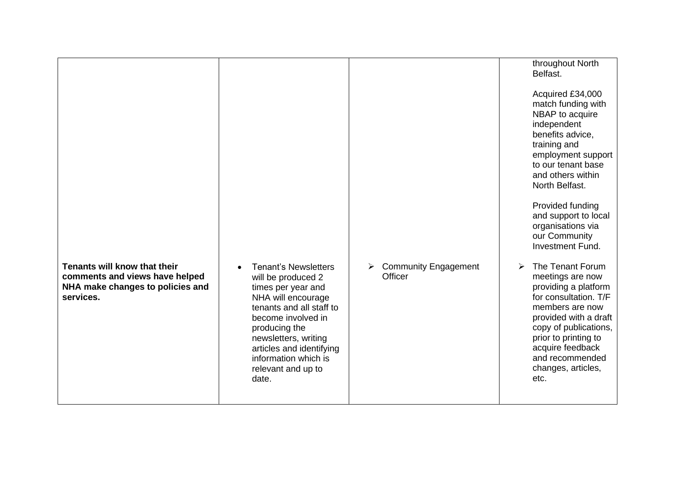|                                                                                                                 |                                                                                                                                                                                                                                                                             |                                             | throughout North<br>Belfast.<br>Acquired £34,000<br>match funding with<br>NBAP to acquire<br>independent<br>benefits advice,<br>training and<br>employment support<br>to our tenant base<br>and others within<br>North Belfast.<br>Provided funding<br>and support to local<br>organisations via<br>our Community |
|-----------------------------------------------------------------------------------------------------------------|-----------------------------------------------------------------------------------------------------------------------------------------------------------------------------------------------------------------------------------------------------------------------------|---------------------------------------------|-------------------------------------------------------------------------------------------------------------------------------------------------------------------------------------------------------------------------------------------------------------------------------------------------------------------|
| Tenants will know that their<br>comments and views have helped<br>NHA make changes to policies and<br>services. | <b>Tenant's Newsletters</b><br>will be produced 2<br>times per year and<br>NHA will encourage<br>tenants and all staff to<br>become involved in<br>producing the<br>newsletters, writing<br>articles and identifying<br>information which is<br>relevant and up to<br>date. | <b>Community Engagement</b><br>➤<br>Officer | <b>Investment Fund.</b><br>The Tenant Forum<br>↘<br>meetings are now<br>providing a platform<br>for consultation. T/F<br>members are now<br>provided with a draft<br>copy of publications,<br>prior to printing to<br>acquire feedback<br>and recommended<br>changes, articles,<br>etc.                           |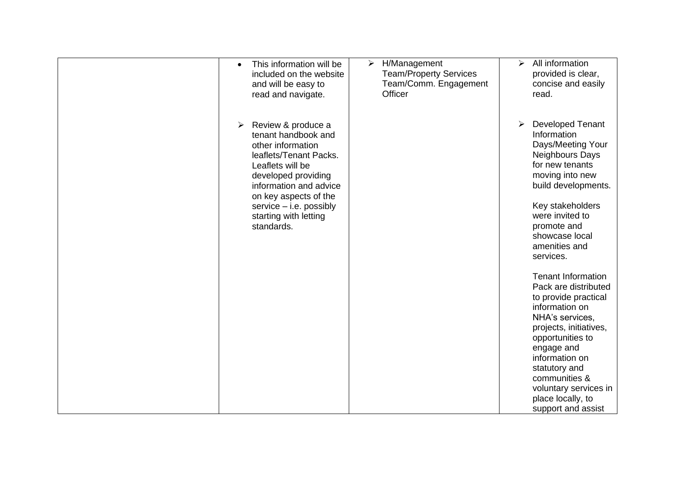| This information will be<br>$\bullet$<br>included on the website<br>and will be easy to<br>read and navigate.                                                                                                                                                      | H/Management<br>$\blacktriangleright$<br><b>Team/Property Services</b><br>Team/Comm. Engagement<br>Officer | All information<br>➤<br>provided is clear,<br>concise and easily<br>read.                                                                                                                                                                                                                                                                                                                                                                                                                                                              |
|--------------------------------------------------------------------------------------------------------------------------------------------------------------------------------------------------------------------------------------------------------------------|------------------------------------------------------------------------------------------------------------|----------------------------------------------------------------------------------------------------------------------------------------------------------------------------------------------------------------------------------------------------------------------------------------------------------------------------------------------------------------------------------------------------------------------------------------------------------------------------------------------------------------------------------------|
| Review & produce a<br>➤<br>tenant handbook and<br>other information<br>leaflets/Tenant Packs.<br>Leaflets will be<br>developed providing<br>information and advice<br>on key aspects of the<br>$s$ ervice $-$ i.e. possibly<br>starting with letting<br>standards. |                                                                                                            | <b>Developed Tenant</b><br>➤<br>Information<br>Days/Meeting Your<br>Neighbours Days<br>for new tenants<br>moving into new<br>build developments.<br>Key stakeholders<br>were invited to<br>promote and<br>showcase local<br>amenities and<br>services.<br><b>Tenant Information</b><br>Pack are distributed<br>to provide practical<br>information on<br>NHA's services,<br>projects, initiatives,<br>opportunities to<br>engage and<br>information on<br>statutory and<br>communities &<br>voluntary services in<br>place locally, to |
|                                                                                                                                                                                                                                                                    |                                                                                                            | support and assist                                                                                                                                                                                                                                                                                                                                                                                                                                                                                                                     |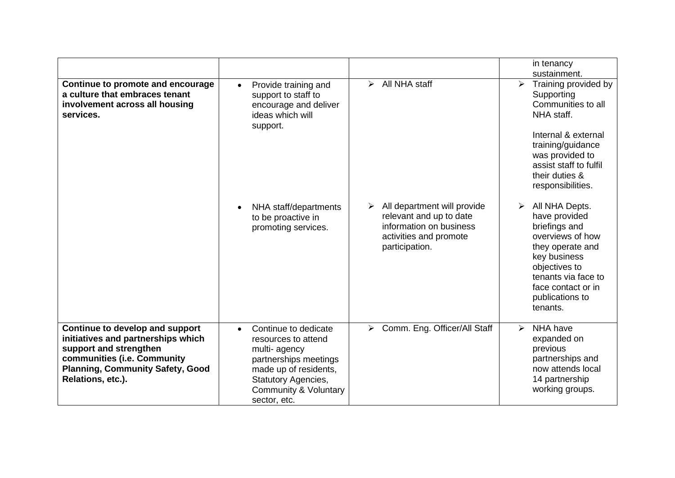|                                                                                                                                                                                                |                                                                                                                                                                                                              |                                                                                                                                                        | in tenancy<br>sustainment.                                                                                                                                                                                                      |
|------------------------------------------------------------------------------------------------------------------------------------------------------------------------------------------------|--------------------------------------------------------------------------------------------------------------------------------------------------------------------------------------------------------------|--------------------------------------------------------------------------------------------------------------------------------------------------------|---------------------------------------------------------------------------------------------------------------------------------------------------------------------------------------------------------------------------------|
| Continue to promote and encourage<br>a culture that embraces tenant<br>involvement across all housing<br>services.                                                                             | Provide training and<br>$\bullet$<br>support to staff to<br>encourage and deliver<br>ideas which will<br>support.                                                                                            | All NHA staff<br>$\blacktriangleright$                                                                                                                 | Training provided by<br>$\blacktriangleright$<br>Supporting<br>Communities to all<br>NHA staff.<br>Internal & external<br>training/guidance<br>was provided to<br>assist staff to fulfil<br>their duties &<br>responsibilities. |
|                                                                                                                                                                                                | NHA staff/departments<br>$\bullet$<br>to be proactive in<br>promoting services.                                                                                                                              | All department will provide<br>$\blacktriangleright$<br>relevant and up to date<br>information on business<br>activities and promote<br>participation. | All NHA Depts.<br>➤<br>have provided<br>briefings and<br>overviews of how<br>they operate and<br>key business<br>objectives to<br>tenants via face to<br>face contact or in<br>publications to<br>tenants.                      |
| Continue to develop and support<br>initiatives and partnerships which<br>support and strengthen<br>communities (i.e. Community<br><b>Planning, Community Safety, Good</b><br>Relations, etc.). | Continue to dedicate<br>$\bullet$<br>resources to attend<br>multi-agency<br>partnerships meetings<br>made up of residents,<br><b>Statutory Agencies,</b><br><b>Community &amp; Voluntary</b><br>sector, etc. | Comm. Eng. Officer/All Staff<br>➤                                                                                                                      | NHA have<br>$\blacktriangleright$<br>expanded on<br>previous<br>partnerships and<br>now attends local<br>14 partnership<br>working groups.                                                                                      |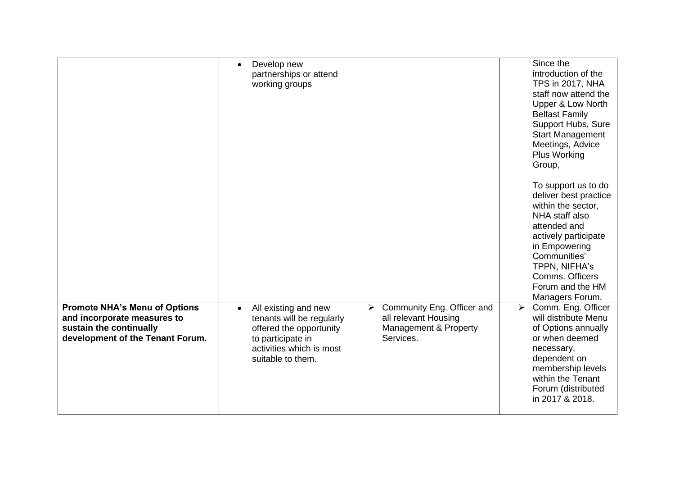|                                                                                                                                    |                                                                                                                                                                 |                                                                                                                   | Since the                                                                                                                                                                                                                                |
|------------------------------------------------------------------------------------------------------------------------------------|-----------------------------------------------------------------------------------------------------------------------------------------------------------------|-------------------------------------------------------------------------------------------------------------------|------------------------------------------------------------------------------------------------------------------------------------------------------------------------------------------------------------------------------------------|
|                                                                                                                                    | Develop new<br>partnerships or attend<br>working groups                                                                                                         |                                                                                                                   | introduction of the<br><b>TPS in 2017, NHA</b><br>staff now attend the<br>Upper & Low North<br><b>Belfast Family</b><br>Support Hubs, Sure<br><b>Start Management</b><br>Meetings, Advice<br>Plus Working<br>Group,                      |
|                                                                                                                                    |                                                                                                                                                                 |                                                                                                                   | To support us to do<br>deliver best practice<br>within the sector,<br>NHA staff also<br>attended and<br>actively participate<br>in Empowering<br>Communities'<br>TPPN, NIFHA's<br>Comms. Officers<br>Forum and the HM<br>Managers Forum. |
| <b>Promote NHA's Menu of Options</b><br>and incorporate measures to<br>sustain the continually<br>development of the Tenant Forum. | All existing and new<br>$\bullet$<br>tenants will be regularly<br>offered the opportunity<br>to participate in<br>activities which is most<br>suitable to them. | Community Eng. Officer and<br>$\blacktriangleright$<br>all relevant Housing<br>Management & Property<br>Services. | $\triangleright$ Comm. Eng. Officer<br>will distribute Menu<br>of Options annually<br>or when deemed<br>necessary,<br>dependent on<br>membership levels<br>within the Tenant<br>Forum (distributed<br>in 2017 & 2018.                    |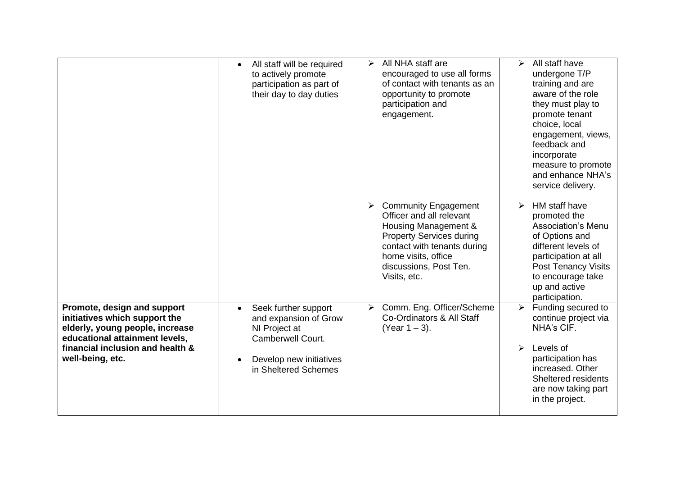|                                                                                                                                                                                           | All staff will be required<br>to actively promote<br>participation as part of<br>their day to day duties                                            | All NHA staff are<br>⋗<br>encouraged to use all forms<br>of contact with tenants as an<br>opportunity to promote<br>participation and<br>engagement.                                                               | All staff have<br>➤<br>undergone T/P<br>training and are<br>aware of the role<br>they must play to<br>promote tenant<br>choice, local<br>engagement, views,<br>feedback and<br>incorporate<br>measure to promote<br>and enhance NHA's<br>service delivery. |
|-------------------------------------------------------------------------------------------------------------------------------------------------------------------------------------------|-----------------------------------------------------------------------------------------------------------------------------------------------------|--------------------------------------------------------------------------------------------------------------------------------------------------------------------------------------------------------------------|------------------------------------------------------------------------------------------------------------------------------------------------------------------------------------------------------------------------------------------------------------|
|                                                                                                                                                                                           |                                                                                                                                                     | <b>Community Engagement</b><br>Officer and all relevant<br>Housing Management &<br><b>Property Services during</b><br>contact with tenants during<br>home visits, office<br>discussions, Post Ten.<br>Visits, etc. | HM staff have<br>promoted the<br><b>Association's Menu</b><br>of Options and<br>different levels of<br>participation at all<br><b>Post Tenancy Visits</b><br>to encourage take<br>up and active<br>participation.                                          |
| Promote, design and support<br>initiatives which support the<br>elderly, young people, increase<br>educational attainment levels,<br>financial inclusion and health &<br>well-being, etc. | Seek further support<br>$\bullet$<br>and expansion of Grow<br>NI Project at<br>Camberwell Court.<br>Develop new initiatives<br>in Sheltered Schemes | Comm. Eng. Officer/Scheme<br>➤<br>Co-Ordinators & All Staff<br>$(Year 1 - 3)$ .                                                                                                                                    | Funding secured to<br>$\blacktriangleright$<br>continue project via<br>NHA's CIF.<br>➤<br>Levels of<br>participation has<br>increased. Other<br>Sheltered residents<br>are now taking part<br>in the project.                                              |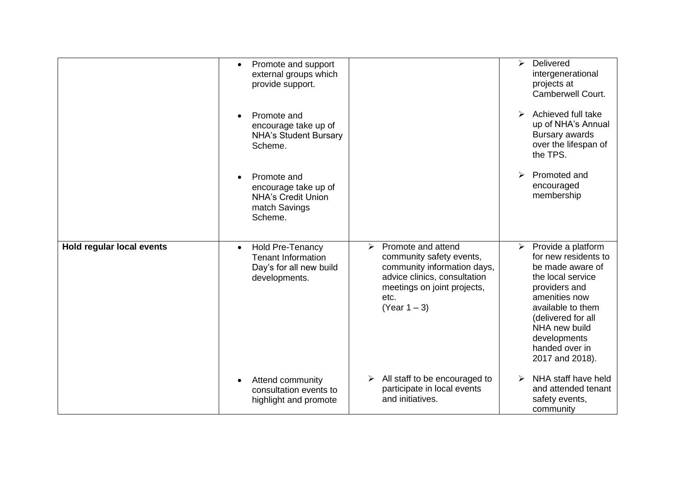|                                  | Promote and support<br>$\bullet$<br>external groups which<br>provide support.                                 |                                                                                                                                                                                                 | Delivered<br>$\blacktriangleright$<br>intergenerational<br>projects at<br>Camberwell Court.                                                                                                                                                             |
|----------------------------------|---------------------------------------------------------------------------------------------------------------|-------------------------------------------------------------------------------------------------------------------------------------------------------------------------------------------------|---------------------------------------------------------------------------------------------------------------------------------------------------------------------------------------------------------------------------------------------------------|
|                                  | Promote and<br>encourage take up of<br><b>NHA's Student Bursary</b><br>Scheme.                                |                                                                                                                                                                                                 | Achieved full take<br>up of NHA's Annual<br>Bursary awards<br>over the lifespan of<br>the TPS.                                                                                                                                                          |
|                                  | Promote and<br>encourage take up of<br><b>NHA's Credit Union</b><br>match Savings<br>Scheme.                  |                                                                                                                                                                                                 | Promoted and<br>➤<br>encouraged<br>membership                                                                                                                                                                                                           |
| <b>Hold regular local events</b> | <b>Hold Pre-Tenancy</b><br>$\bullet$<br><b>Tenant Information</b><br>Day's for all new build<br>developments. | Promote and attend<br>$\blacktriangleright$<br>community safety events,<br>community information days,<br>advice clinics, consultation<br>meetings on joint projects,<br>etc.<br>$(Year 1 - 3)$ | $\triangleright$ Provide a platform<br>for new residents to<br>be made aware of<br>the local service<br>providers and<br>amenities now<br>available to them<br>(delivered for all<br>NHA new build<br>developments<br>handed over in<br>2017 and 2018). |
|                                  | Attend community<br>consultation events to<br>highlight and promote                                           | All staff to be encouraged to<br>participate in local events<br>and initiatives.                                                                                                                | NHA staff have held<br>and attended tenant<br>safety events,<br>community                                                                                                                                                                               |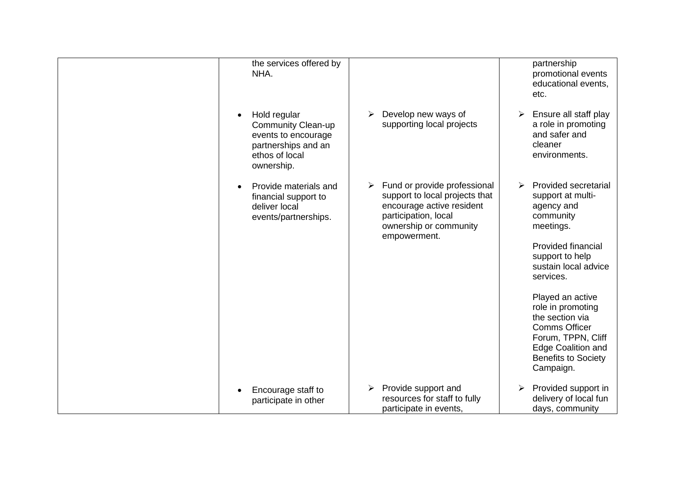| the services offered by<br>NHA.                                                                                  |                                                                                                                                                               | partnership<br>promotional events<br>educational events,<br>etc.                                                                                                               |
|------------------------------------------------------------------------------------------------------------------|---------------------------------------------------------------------------------------------------------------------------------------------------------------|--------------------------------------------------------------------------------------------------------------------------------------------------------------------------------|
| Hold regular<br>Community Clean-up<br>events to encourage<br>partnerships and an<br>ethos of local<br>ownership. | Develop new ways of<br>➤<br>supporting local projects                                                                                                         | Ensure all staff play<br>a role in promoting<br>and safer and<br>cleaner<br>environments.                                                                                      |
| Provide materials and<br>financial support to<br>deliver local<br>events/partnerships.                           | Fund or provide professional<br>support to local projects that<br>encourage active resident<br>participation, local<br>ownership or community<br>empowerment. | <b>Provided secretarial</b><br>support at multi-<br>agency and<br>community<br>meetings.<br><b>Provided financial</b>                                                          |
|                                                                                                                  |                                                                                                                                                               | support to help<br>sustain local advice<br>services.                                                                                                                           |
|                                                                                                                  |                                                                                                                                                               | Played an active<br>role in promoting<br>the section via<br><b>Comms Officer</b><br>Forum, TPPN, Cliff<br><b>Edge Coalition and</b><br><b>Benefits to Society</b><br>Campaign. |
| Encourage staff to<br>participate in other                                                                       | Provide support and<br>resources for staff to fully<br>participate in events,                                                                                 | Provided support in<br>delivery of local fun<br>days, community                                                                                                                |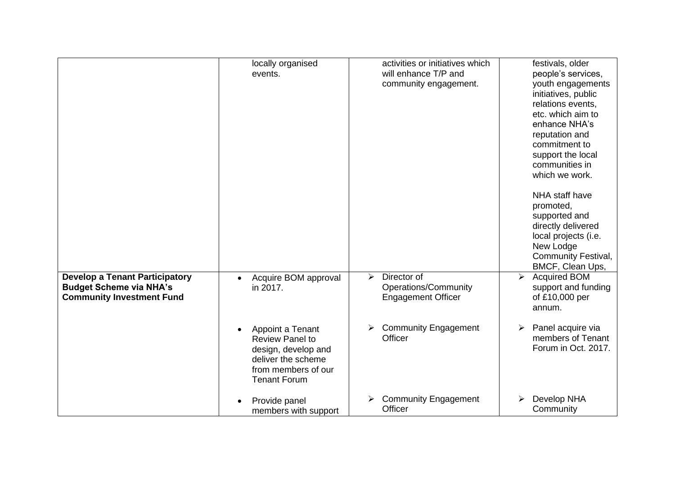|                                                                                                             | locally organised<br>events.                                                                                      | activities or initiatives which<br>will enhance T/P and<br>community engagement.                                    | festivals, older<br>people's services,<br>youth engagements<br>initiatives, public<br>relations events,<br>etc. which aim to<br>enhance NHA's<br>reputation and<br>commitment to<br>support the local<br>communities in<br>which we work.<br>NHA staff have<br>promoted,<br>supported and<br>directly delivered<br>local projects (i.e.<br>New Lodge<br><b>Community Festival,</b><br>BMCF, Clean Ups, |
|-------------------------------------------------------------------------------------------------------------|-------------------------------------------------------------------------------------------------------------------|---------------------------------------------------------------------------------------------------------------------|--------------------------------------------------------------------------------------------------------------------------------------------------------------------------------------------------------------------------------------------------------------------------------------------------------------------------------------------------------------------------------------------------------|
| <b>Develop a Tenant Participatory</b><br><b>Budget Scheme via NHA's</b><br><b>Community Investment Fund</b> | Acquire BOM approval<br>in 2017.<br>Appoint a Tenant                                                              | Director of<br>$\triangleright$<br>Operations/Community<br><b>Engagement Officer</b><br><b>Community Engagement</b> | $\blacktriangleright$<br><b>Acquired BOM</b><br>support and funding<br>of £10,000 per<br>annum.<br>Panel acquire via<br>$\blacktriangleright$                                                                                                                                                                                                                                                          |
|                                                                                                             | <b>Review Panel to</b><br>design, develop and<br>deliver the scheme<br>from members of our<br><b>Tenant Forum</b> | Officer                                                                                                             | members of Tenant<br>Forum in Oct. 2017.                                                                                                                                                                                                                                                                                                                                                               |
|                                                                                                             | Provide panel<br>members with support                                                                             | <b>Community Engagement</b><br>Officer                                                                              | Develop NHA<br>Community                                                                                                                                                                                                                                                                                                                                                                               |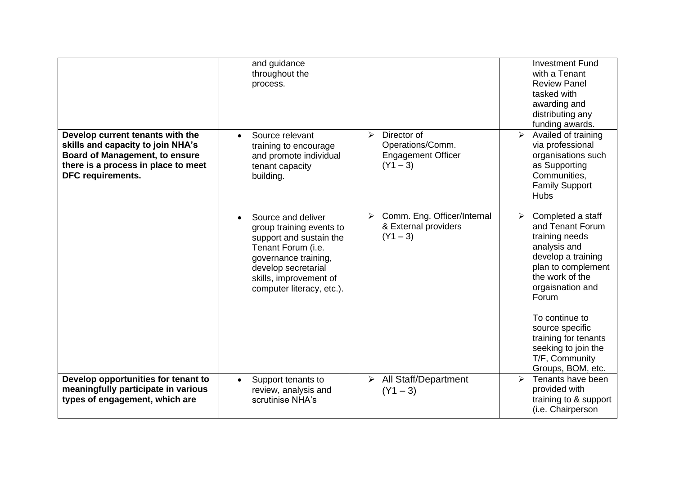|                                                                                                                                                                            | and guidance<br>throughout the<br>process.                                                                                                                                                            |                                                                                                     | <b>Investment Fund</b><br>with a Tenant<br><b>Review Panel</b><br>tasked with<br>awarding and<br>distributing any<br>funding awards.                                                                                                                                                           |
|----------------------------------------------------------------------------------------------------------------------------------------------------------------------------|-------------------------------------------------------------------------------------------------------------------------------------------------------------------------------------------------------|-----------------------------------------------------------------------------------------------------|------------------------------------------------------------------------------------------------------------------------------------------------------------------------------------------------------------------------------------------------------------------------------------------------|
| Develop current tenants with the<br>skills and capacity to join NHA's<br><b>Board of Management, to ensure</b><br>there is a process in place to meet<br>DFC requirements. | Source relevant<br>$\bullet$<br>training to encourage<br>and promote individual<br>tenant capacity<br>building.                                                                                       | Director of<br>$\blacktriangleright$<br>Operations/Comm.<br><b>Engagement Officer</b><br>$(Y1 - 3)$ | Availed of training<br>$\blacktriangleright$<br>via professional<br>organisations such<br>as Supporting<br>Communities,<br><b>Family Support</b><br><b>Hubs</b>                                                                                                                                |
|                                                                                                                                                                            | Source and deliver<br>group training events to<br>support and sustain the<br>Tenant Forum (i.e.<br>governance training,<br>develop secretarial<br>skills, improvement of<br>computer literacy, etc.). | Comm. Eng. Officer/Internal<br>& External providers<br>$(Y1 - 3)$                                   | Completed a staff<br>and Tenant Forum<br>training needs<br>analysis and<br>develop a training<br>plan to complement<br>the work of the<br>orgaisnation and<br>Forum<br>To continue to<br>source specific<br>training for tenants<br>seeking to join the<br>T/F, Community<br>Groups, BOM, etc. |
| Develop opportunities for tenant to<br>meaningfully participate in various<br>types of engagement, which are                                                               | Support tenants to<br>$\bullet$<br>review, analysis and<br>scrutinise NHA's                                                                                                                           | $\triangleright$ All Staff/Department<br>$(Y1 - 3)$                                                 | Tenants have been<br>$\blacktriangleright$<br>provided with<br>training to & support<br>(i.e. Chairperson                                                                                                                                                                                      |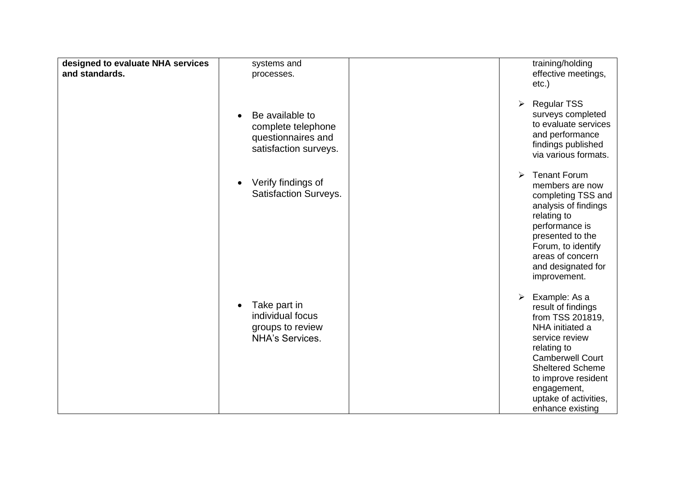| designed to evaluate NHA services | systems and                                                                          | training/holding                                                                                                                                                                                                                                          |
|-----------------------------------|--------------------------------------------------------------------------------------|-----------------------------------------------------------------------------------------------------------------------------------------------------------------------------------------------------------------------------------------------------------|
| and standards.                    | processes.                                                                           | effective meetings,<br>$etc.$ )                                                                                                                                                                                                                           |
|                                   |                                                                                      |                                                                                                                                                                                                                                                           |
|                                   | Be available to<br>complete telephone<br>questionnaires and<br>satisfaction surveys. | <b>Regular TSS</b><br>➤<br>surveys completed<br>to evaluate services<br>and performance<br>findings published<br>via various formats.                                                                                                                     |
|                                   | Verify findings of<br><b>Satisfaction Surveys.</b>                                   | <b>Tenant Forum</b><br>$\blacktriangleright$<br>members are now<br>completing TSS and<br>analysis of findings<br>relating to<br>performance is<br>presented to the<br>Forum, to identify<br>areas of concern<br>and designated for<br>improvement.        |
|                                   | Take part in<br>individual focus<br>groups to review<br><b>NHA's Services.</b>       | Example: As a<br>➤<br>result of findings<br>from TSS 201819.<br>NHA initiated a<br>service review<br>relating to<br><b>Camberwell Court</b><br><b>Sheltered Scheme</b><br>to improve resident<br>engagement,<br>uptake of activities,<br>enhance existing |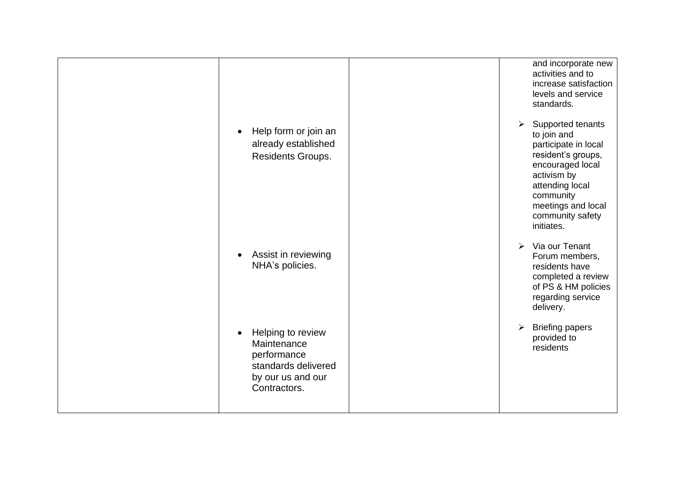| Help form or join an<br>already established<br>Residents Groups.                                            | and incorporate new<br>activities and to<br>increase satisfaction<br>levels and service<br>standards.<br>Supported tenants<br>➤<br>to join and<br>participate in local<br>resident's groups,<br>encouraged local<br>activism by<br>attending local<br>community<br>meetings and local |
|-------------------------------------------------------------------------------------------------------------|---------------------------------------------------------------------------------------------------------------------------------------------------------------------------------------------------------------------------------------------------------------------------------------|
| Assist in reviewing<br>$\bullet$<br>NHA's policies.                                                         | community safety<br>initiates.<br>Via our Tenant<br>$\blacktriangleright$<br>Forum members,<br>residents have<br>completed a review<br>of PS & HM policies<br>regarding service<br>delivery.                                                                                          |
| Helping to review<br>Maintenance<br>performance<br>standards delivered<br>by our us and our<br>Contractors. | <b>Briefing papers</b><br>➤<br>provided to<br>residents                                                                                                                                                                                                                               |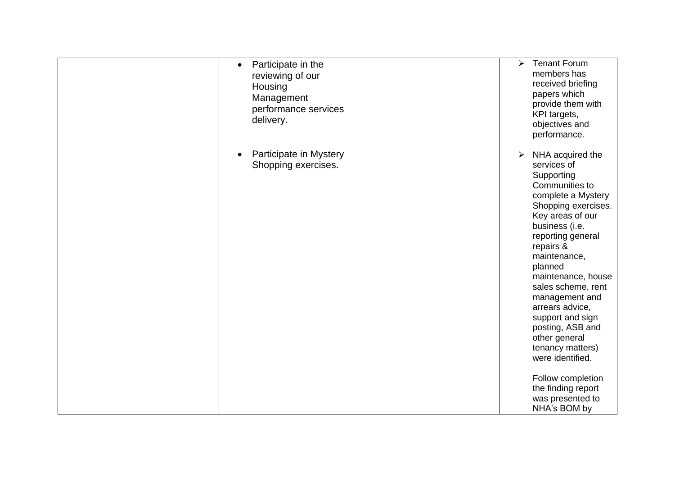| Participate in the<br>$\bullet$<br>reviewing of our<br>Housing<br>Management<br>performance services<br>delivery. | <b>Tenant Forum</b><br>$\blacktriangleright$<br>members has<br>received briefing<br>papers which<br>provide them with<br>KPI targets,<br>objectives and<br>performance.                                                                                                                                                                                                                                                     |
|-------------------------------------------------------------------------------------------------------------------|-----------------------------------------------------------------------------------------------------------------------------------------------------------------------------------------------------------------------------------------------------------------------------------------------------------------------------------------------------------------------------------------------------------------------------|
| Participate in Mystery<br>Shopping exercises.                                                                     | NHA acquired the<br>➤<br>services of<br>Supporting<br>Communities to<br>complete a Mystery<br>Shopping exercises.<br>Key areas of our<br>business (i.e.<br>reporting general<br>repairs &<br>maintenance,<br>planned<br>maintenance, house<br>sales scheme, rent<br>management and<br>arrears advice,<br>support and sign<br>posting, ASB and<br>other general<br>tenancy matters)<br>were identified.<br>Follow completion |
|                                                                                                                   | the finding report<br>was presented to<br>NHA's BOM by                                                                                                                                                                                                                                                                                                                                                                      |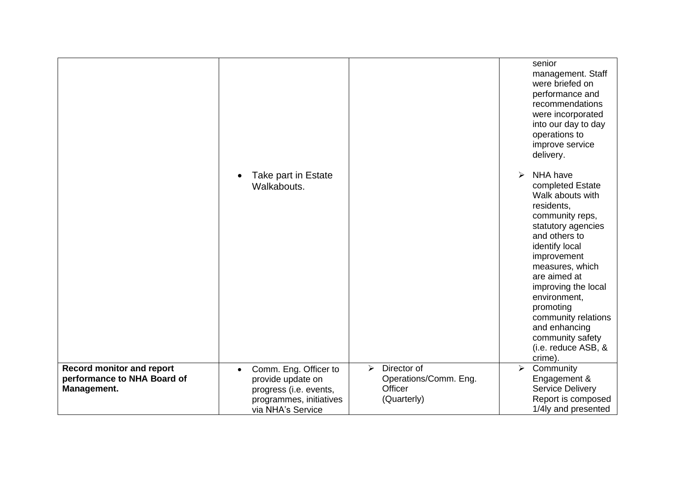|                                                                                |                                                                                                                                   |                                                                                         | senior<br>management. Staff<br>were briefed on<br>performance and<br>recommendations<br>were incorporated<br>into our day to day<br>operations to<br>improve service<br>delivery.                                                                                                                                                                                       |
|--------------------------------------------------------------------------------|-----------------------------------------------------------------------------------------------------------------------------------|-----------------------------------------------------------------------------------------|-------------------------------------------------------------------------------------------------------------------------------------------------------------------------------------------------------------------------------------------------------------------------------------------------------------------------------------------------------------------------|
|                                                                                | Take part in Estate<br>Walkabouts.                                                                                                |                                                                                         | NHA have<br>$\blacktriangleright$<br>completed Estate<br>Walk abouts with<br>residents,<br>community reps,<br>statutory agencies<br>and others to<br>identify local<br>improvement<br>measures, which<br>are aimed at<br>improving the local<br>environment,<br>promoting<br>community relations<br>and enhancing<br>community safety<br>(i.e. reduce ASB, &<br>crime). |
| <b>Record monitor and report</b><br>performance to NHA Board of<br>Management. | Comm. Eng. Officer to<br>$\bullet$<br>provide update on<br>progress (i.e. events,<br>programmes, initiatives<br>via NHA's Service | Director of<br>$\blacktriangleright$<br>Operations/Comm. Eng.<br>Officer<br>(Quarterly) | $\triangleright$ Community<br>Engagement &<br><b>Service Delivery</b><br>Report is composed<br>1/4ly and presented                                                                                                                                                                                                                                                      |